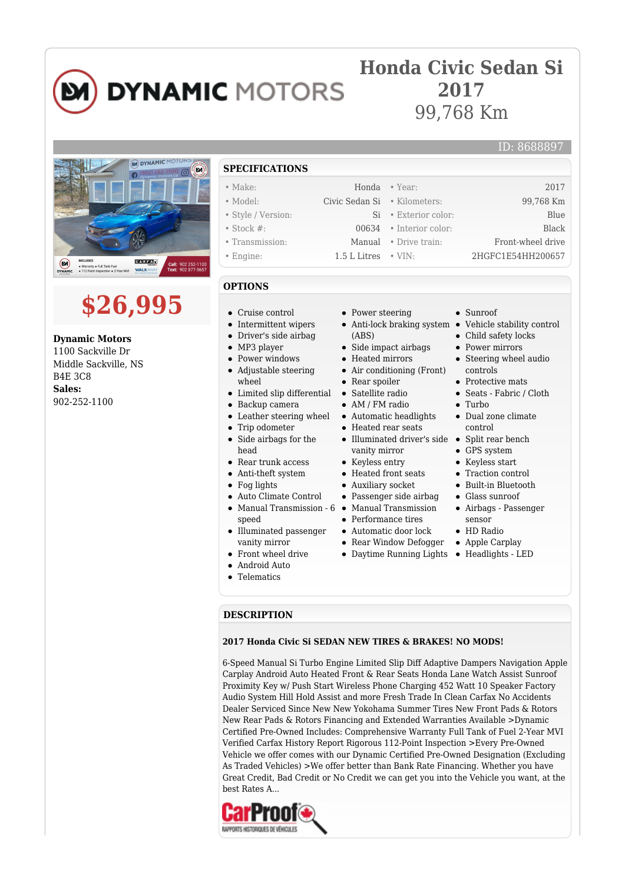

### **Honda Civic Sedan Si 2017** 99,768 Km

## NO DYNAMIC MOTOR வ **GAREA** x  $\omega$ ● Warranty ● Full Tank Fue<br>● 112 Point Inspection ● 2

# **\$26,995**

**Dynamic Motors** 1100 Sackville Dr Middle Sackville, NS B4E 3C8 **Sales:** 902-252-1100

**SPECIFICATIONS** • Make: 2017 Honda • Year: 2017 • Model: Civic Sedan Si • Kilometers: 99,768 Km • Style / Version: Si • Exterior color: Blue • Stock #: 00634 • Interior color: Black • Transmission: Manual • Drive train: Front-wheel drive • Engine: 1.5 L Litres • VIN: 2HGFC1E54HH200657

#### **OPTIONS**

- Cruise control
- Intermittent wipers
- Driver's side airbag
- MP3 player
- Power windows
- $\bullet$ Adjustable steering
- wheel
- Limited slip differential
- $\bullet$ Backup camera
- Leather steering wheel  $\bullet$
- Trip odometer  $\bullet$
- Side airbags for the  $\bullet$ head
- Rear trunk access
- $\bullet$ Anti-theft system
- Fog lights
- Auto Climate Control
- Manual Transmission 6 Manual Transmission
- speed
- Illuminated passenger vanity mirror
- Front wheel drive  $\bullet$
- Android Auto
- Telematics
- Power steering
- (ABS)
- Side impact airbags
- Heated mirrors
- Air conditioning (Front)
- Rear spoiler
- Satellite radio
- AM / FM radio
- Automatic headlights
- Heated rear seats
- Illuminated driver's side Split rear bench vanity mirror
- Keyless entry
- Heated front seats
- Auxiliary socket
- Passenger side airbag
- 
- Performance tires
- Automatic door lock
- Rear Window Defogger
- Daytime Running Lights Headlights LED
- Sunroof
- Anti-lock braking system Vehicle stability control

ID: 8688897

- Child safety locks
- Power mirrors
- Steering wheel audio controls
- Protective mats
- Seats Fabric / Cloth
- $\bullet$  Turbo
	- Dual zone climate control
	-
	- GPS system
	- Keyless start
	- Traction control
	- Built-in Bluetooth
	- Glass sunroof
	- Airbags Passenger sensor
- HD Radio
- Apple Carplay
- 

#### **DESCRIPTION**

#### **2017 Honda Civic Si SEDAN NEW TIRES & BRAKES! NO MODS!**

6-Speed Manual Si Turbo Engine Limited Slip Diff Adaptive Dampers Navigation Apple Carplay Android Auto Heated Front & Rear Seats Honda Lane Watch Assist Sunroof Proximity Key w/ Push Start Wireless Phone Charging 452 Watt 10 Speaker Factory Audio System Hill Hold Assist and more Fresh Trade In Clean Carfax No Accidents Dealer Serviced Since New New Yokohama Summer Tires New Front Pads & Rotors New Rear Pads & Rotors Financing and Extended Warranties Available >Dynamic Certified Pre-Owned Includes: Comprehensive Warranty Full Tank of Fuel 2-Year MVI Verified Carfax History Report Rigorous 112-Point Inspection >Every Pre-Owned Vehicle we offer comes with our Dynamic Certified Pre-Owned Designation (Excluding As Traded Vehicles) >We offer better than Bank Rate Financing. Whether you have Great Credit, Bad Credit or No Credit we can get you into the Vehicle you want, at the best Rates A...